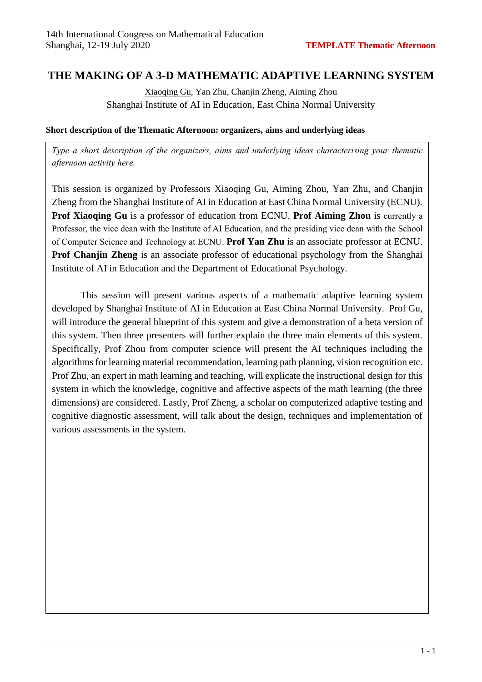## **THE MAKING OF A 3-D MATHEMATIC ADAPTIVE LEARNING SYSTEM**

Xiaoqing Gu, Yan Zhu, Chanjin Zheng, Aiming Zhou Shanghai Institute of AI in Education, East China Normal University

#### **Short description of the Thematic Afternoon: organizers, aims and underlying ideas**

*Type a short description of the organizers, aims and underlying ideas characterising your thematic afternoon activity here.* 

This session is organized by Professors Xiaoqing Gu, Aiming Zhou, Yan Zhu, and Chanjin Zheng from the Shanghai Institute of AI in Education at East China Normal University (ECNU). **Prof Xiaoqing Gu** is a professor of education from ECNU. **Prof Aiming Zhou** is currently a Professor, the vice dean with the Institute of AI Education, and the presiding vice dean with the School of Computer Science and Technology at ECNU. **Prof Yan Zhu** is an associate professor at ECNU. **Prof Chanjin Zheng** is an associate professor of educational psychology from the Shanghai Institute of AI in Education and the Department of Educational Psychology.

This session will present various aspects of a mathematic adaptive learning system developed by Shanghai Institute of AI in Education at East China Normal University. Prof Gu, will introduce the general blueprint of this system and give a demonstration of a beta version of this system. Then three presenters will further explain the three main elements of this system. Specifically, Prof Zhou from computer science will present the AI techniques including the algorithms for learning material recommendation, learning path planning, vision recognition etc. Prof Zhu, an expert in math learning and teaching, will explicate the instructional design for this system in which the knowledge, cognitive and affective aspects of the math learning (the three dimensions) are considered. Lastly, Prof Zheng, a scholar on computerized adaptive testing and cognitive diagnostic assessment, will talk about the design, techniques and implementation of various assessments in the system.